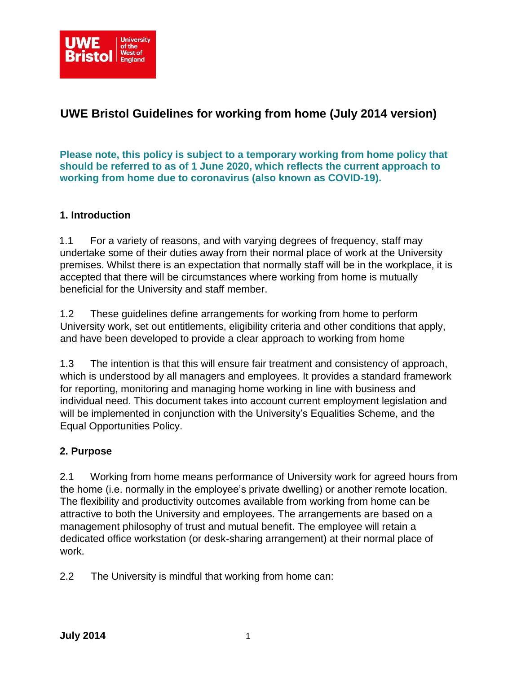

# **UWE Bristol Guidelines for working from home (July 2014 version)**

**Please note, this policy is subject to a temporary working from home policy that should be referred to as of 1 June 2020, which reflects the current approach to working from home due to coronavirus (also known as COVID-19).**

#### **1. Introduction**

1.1 For a variety of reasons, and with varying degrees of frequency, staff may undertake some of their duties away from their normal place of work at the University premises. Whilst there is an expectation that normally staff will be in the workplace, it is accepted that there will be circumstances where working from home is mutually beneficial for the University and staff member.

1.2 These guidelines define arrangements for working from home to perform University work, set out entitlements, eligibility criteria and other conditions that apply, and have been developed to provide a clear approach to working from home

1.3 The intention is that this will ensure fair treatment and consistency of approach, which is understood by all managers and employees. It provides a standard framework for reporting, monitoring and managing home working in line with business and individual need. This document takes into account current employment legislation and will be implemented in conjunction with the University's Equalities Scheme, and the Equal Opportunities Policy.

#### **2. Purpose**

2.1 Working from home means performance of University work for agreed hours from the home (i.e. normally in the employee's private dwelling) or another remote location. The flexibility and productivity outcomes available from working from home can be attractive to both the University and employees. The arrangements are based on a management philosophy of trust and mutual benefit. The employee will retain a dedicated office workstation (or desk-sharing arrangement) at their normal place of work.

2.2 The University is mindful that working from home can: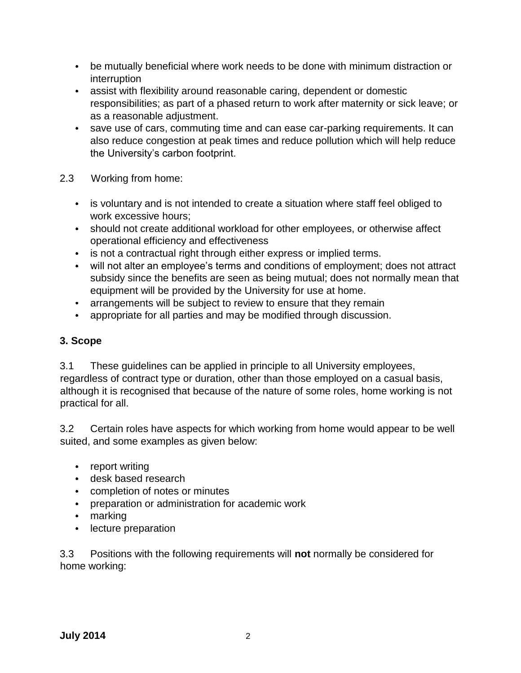- be mutually beneficial where work needs to be done with minimum distraction or interruption
- assist with flexibility around reasonable caring, dependent or domestic  $\bullet$ responsibilities; as part of a phased return to work after maternity or sick leave; or as a reasonable adjustment.
- save use of cars, commuting time and can ease car-parking requirements. It can also reduce congestion at peak times and reduce pollution which will help reduce the University's carbon footprint.
- 2.3 Working from home:
	- is voluntary and is not intended to create a situation where staff feel obliged to  $\bullet$ work excessive hours;
	- should not create additional workload for other employees, or otherwise affect operational efficiency and effectiveness
	- is not a contractual right through either express or implied terms.
	- will not alter an employee's terms and conditions of employment; does not attract subsidy since the benefits are seen as being mutual; does not normally mean that equipment will be provided by the University for use at home.
	- arrangements will be subject to review to ensure that they remain  $\bullet$
	- appropriate for all parties and may be modified through discussion.  $\bullet$

#### **3. Scope**

3.1 These guidelines can be applied in principle to all University employees, regardless of contract type or duration, other than those employed on a casual basis, although it is recognised that because of the nature of some roles, home working is not practical for all.

3.2 Certain roles have aspects for which working from home would appear to be well suited, and some examples as given below:

- report writing
- desk based research
- completion of notes or minutes
- $\bullet$ preparation or administration for academic work
- marking  $\bullet$
- $\bullet$ lecture preparation

3.3 Positions with the following requirements will **not** normally be considered for home working: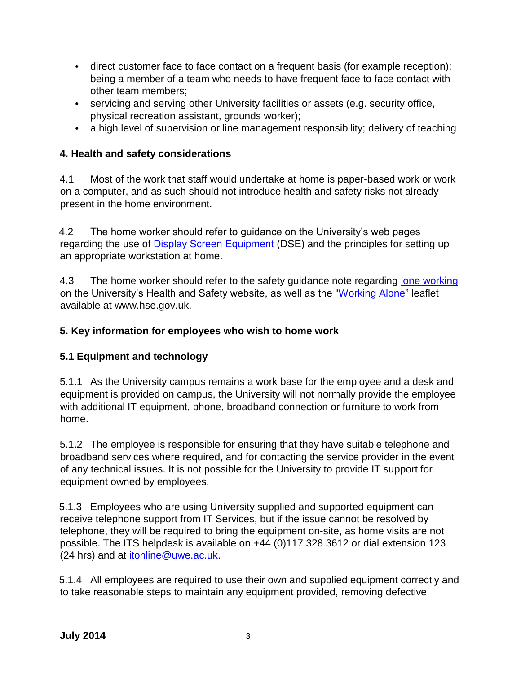- direct customer face to face contact on a frequent basis (for example reception); being a member of a team who needs to have frequent face to face contact with other team members;
- servicing and serving other University facilities or assets (e.g. security office,  $\bullet$ physical recreation assistant, grounds worker);
- a high level of supervision or line management responsibility; delivery of teaching

## **4. Health and safety considerations**

4.1 Most of the work that staff would undertake at home is paper-based work or work on a computer, and as such should not introduce health and safety risks not already present in the home environment.

4.2 The home worker should refer to guidance on the University's web pages regarding the use of [Display Screen Equipment](http://imp.uwe.ac.uk/imp_public/displayentry.asp?URN=9092&rp=listEntry.asp) [\(](http://imp.uwe.ac.uk/imp_public/displayentry.asp?URN=9092&rp=listEntry.asp)DSE) and the principles for setting up an appropriate workstation at home.

4.3 The home worker should refer to the safety guidance note regarding [lone working](http://imp.uwe.ac.uk/imp_public/displayentry.asp?URN=971&rp=listEntry.asp) on the University's Health and Safety website, as well as the ["Working Alone"](https://www.hse.gov.uk/lone-working/worker/index.htm) leaflet available at www.hse.gov.uk.

## **5. Key information for employees who wish to home work**

## **5.1 Equipment and technology**

5.1.1 As the University campus remains a work base for the employee and a desk and equipment is provided on campus, the University will not normally provide the employee with additional IT equipment, phone, broadband connection or furniture to work from home.

5.1.2 The employee is responsible for ensuring that they have suitable telephone and broadband services where required, and for contacting the service provider in the event of any technical issues. It is not possible for the University to provide IT support for equipment owned by employees.

5.1.3 Employees who are using University supplied and supported equipment can receive telephone support from IT Services, but if the issue cannot be resolved by telephone, they will be required to bring the equipment on-site, as home visits are not possible. The ITS helpdesk is available on +44 (0)117 328 3612 or dial extension 123 (24 hrs) and at [itonline@uwe.ac.uk.](mailto:itonline@uwe.ac.uk)

5.1.4 All employees are required to use their own and supplied equipment correctly and to take reasonable steps to maintain any equipment provided, removing defective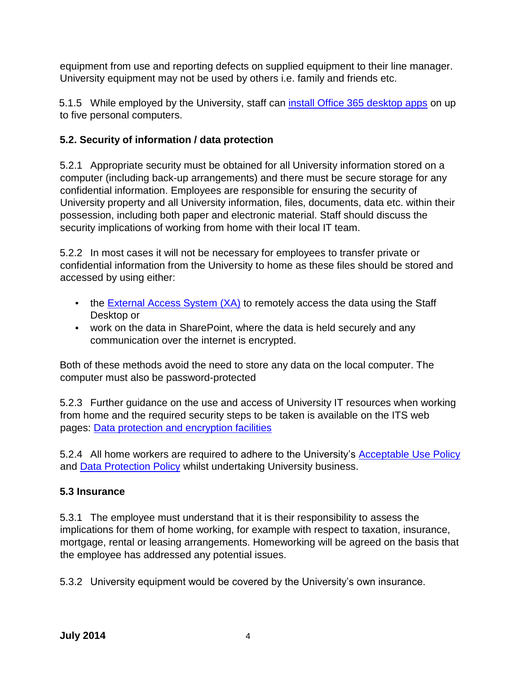equipment from use and reporting defects on supplied equipment to their line manager. University equipment may not be used by others i.e. family and friends etc.

5.1.5 While employed by the University, staff can [install Office 365 desktop apps](https://intranet.uwe.ac.uk/tasks-guides/Guide/office-365#part4) on up to five personal computers.

## **5.2. Security of information / data protection**

5.2.1 Appropriate security must be obtained for all University information stored on a computer (including back-up arrangements) and there must be secure storage for any confidential information. Employees are responsible for ensuring the security of University property and all University information, files, documents, data etc. within their possession, including both paper and electronic material. Staff should discuss the security implications of working from home with their local IT team.

5.2.2 In most cases it will not be necessary for employees to transfer private or confidential information from the University to home as these files should be stored and accessed by using either:

- the [External Access System \(XA\)](http://www.uwe.ac.uk/its-staff/corporate/services/remotefiletransfer.shtml) [t](http://www.uwe.ac.uk/its-staff/corporate/services/remotefiletransfer.shtml)o remotely access the data using the Staff Desktop or
- work on the data in SharePoint, where the data is held securely and any communication over the internet is encrypted.

Both of these methods avoid the need to store any data on the local computer. The computer must also be password-protected

5.2.3 Further guidance on the use and access of University IT resources when working from home and the required security steps to be taken is available on the ITS web pages: [Data protection and encryption facilities](http://www.uwe.ac.uk/its-staff/corporate/ourpolicies/intranet/encryption_facilities_provided_by_uwe_itservices.shtml)

5.2.4 All home workers are required to adhere to the University's [Acceptable Use Policy](http://www.uwe.ac.uk/its-staff/corporate/ourpolicies/openaccess/staffaup.shtml) and **Data [Protection Policy](http://imp.uwe.ac.uk/imp_public/displayEntry.asp?URN=726&rp=listCategory.asp&cat=438)** [w](http://imp.uwe.ac.uk/imp_public/displayEntry.asp?URN=726&rp=listCategory.asp&cat=438)hilst undertaking University business.

## **5.3 Insurance**

5.3.1 The employee must understand that it is their responsibility to assess the implications for them of home working, for example with respect to taxation, insurance, mortgage, rental or leasing arrangements. Homeworking will be agreed on the basis that the employee has addressed any potential issues.

5.3.2 University equipment would be covered by the University's own insurance.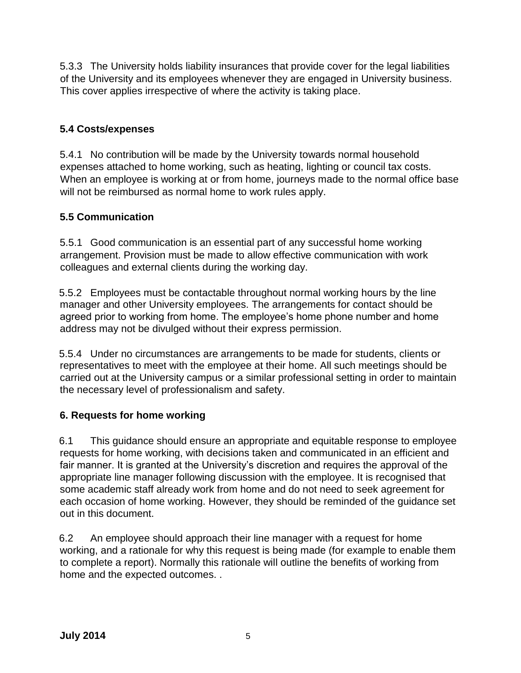5.3.3 The University holds liability insurances that provide cover for the legal liabilities of the University and its employees whenever they are engaged in University business. This cover applies irrespective of where the activity is taking place.

#### **5.4 Costs/expenses**

5.4.1 No contribution will be made by the University towards normal household expenses attached to home working, such as heating, lighting or council tax costs. When an employee is working at or from home, journeys made to the normal office base will not be reimbursed as normal home to work rules apply.

#### **5.5 Communication**

5.5.1 Good communication is an essential part of any successful home working arrangement. Provision must be made to allow effective communication with work colleagues and external clients during the working day.

5.5.2 Employees must be contactable throughout normal working hours by the line manager and other University employees. The arrangements for contact should be agreed prior to working from home. The employee's home phone number and home address may not be divulged without their express permission.

5.5.4 Under no circumstances are arrangements to be made for students, clients or representatives to meet with the employee at their home. All such meetings should be carried out at the University campus or a similar professional setting in order to maintain the necessary level of professionalism and safety.

#### **6. Requests for home working**

6.1 This guidance should ensure an appropriate and equitable response to employee requests for home working, with decisions taken and communicated in an efficient and fair manner. It is granted at the University's discretion and requires the approval of the appropriate line manager following discussion with the employee. It is recognised that some academic staff already work from home and do not need to seek agreement for each occasion of home working. However, they should be reminded of the guidance set out in this document.

6.2 An employee should approach their line manager with a request for home working, and a rationale for why this request is being made (for example to enable them to complete a report). Normally this rationale will outline the benefits of working from home and the expected outcomes. .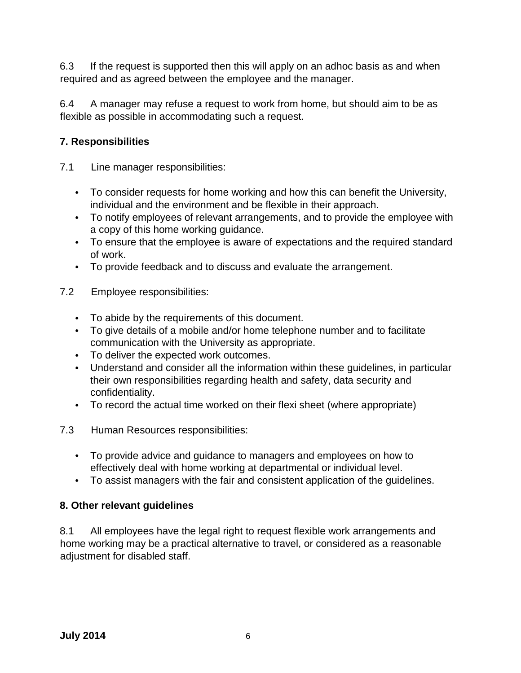6.3 If the request is supported then this will apply on an adhoc basis as and when required and as agreed between the employee and the manager.

6.4 A manager may refuse a request to work from home, but should aim to be as flexible as possible in accommodating such a request.

## **7. Responsibilities**

- 7.1 Line manager responsibilities:
	- To consider requests for home working and how this can benefit the University, individual and the environment and be flexible in their approach.
	- To notify employees of relevant arrangements, and to provide the employee with a copy of this home working guidance.
	- To ensure that the employee is aware of expectations and the required standard of work.
	- To provide feedback and to discuss and evaluate the arrangement.
- 7.2 Employee responsibilities:
	- To abide by the requirements of this document.
	- To give details of a mobile and/or home telephone number and to facilitate communication with the University as appropriate.
	- To deliver the expected work outcomes.
	- Understand and consider all the information within these guidelines, in particular their own responsibilities regarding health and safety, data security and confidentiality.
	- To record the actual time worked on their flexi sheet (where appropriate)  $\bullet$  .
- 7.3 Human Resources responsibilities:
	- $\bullet$ To provide advice and guidance to managers and employees on how to effectively deal with home working at departmental or individual level.
	- To assist managers with the fair and consistent application of the guidelines.

#### **8. Other relevant guidelines**

8.1 All employees have the legal right to request flexible work arrangements and home working may be a practical alternative to travel, or considered as a reasonable adjustment for disabled staff.